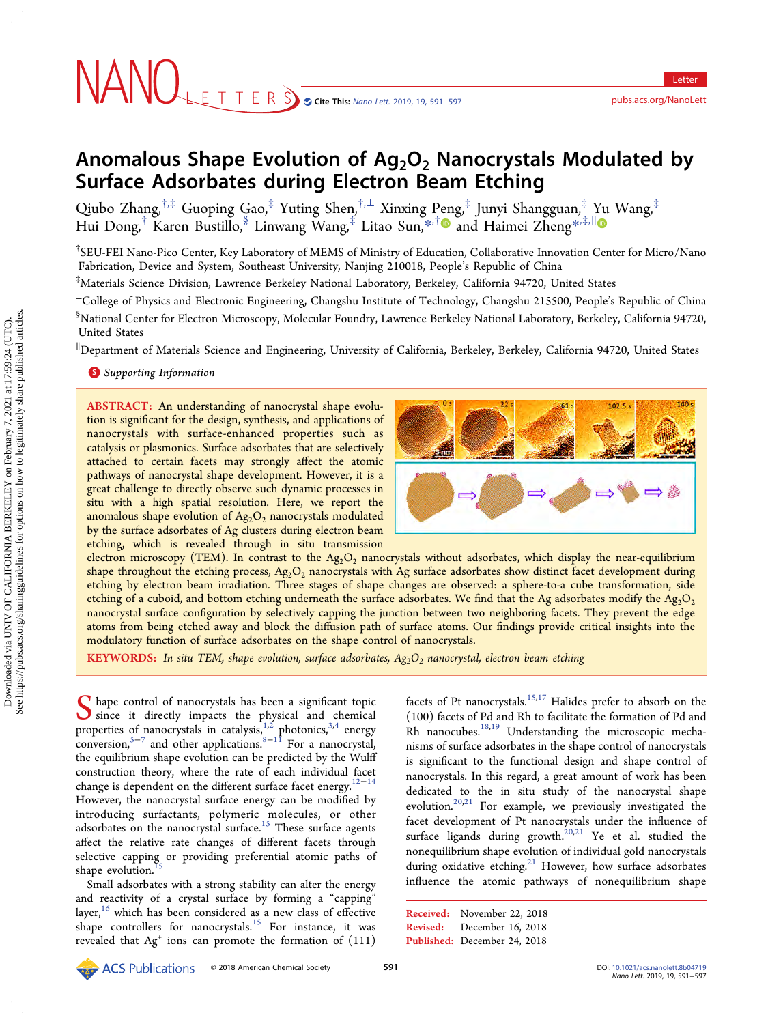# Anomalous Shape Evolution of  $Ag_2O_2$  Nanocrystals Modulated by Surface Adsorbates during Electron Beam Etching

Qiubo Zhang, $^{\dagger,\ddag}$  Guoping Gao, $^{\ddag}$  Yuting Shen, $^{\dagger,\perp}$  Xinxing Peng, $^{\ddag}$  Junyi Shangguan, $^{\ddag}$  Yu Wang, $^{\ddag}$ Hui Dong,† Karen Bustillo,§ Linwang Wang,‡ Litao Sun,[\\*](#page-5-0),[†](#page-5-0) and Haimei Zheng[\\*](#page-5-0),‡,[∥](#page-5-0)

† SEU-FEI Nano-Pico Center, Key Laboratory of MEMS of Ministry of Education, Collaborative Innovation Center for Micro/Nano Fabrication, Device and System, Southeast University, Nanjing 210018, People's Republic of China

‡ Materials Science Division, Lawrence Berkeley National Laboratory, Berkeley, California 94720, United States

<sup>⊥</sup>College of Physics and Electronic Engineering, Changshu Institute of Technology, Changshu 215500, People's Republic of China § National Center for Electron Microscopy, Molecular Foundry, Lawrence Berkeley National Laboratory, Berkeley, California 94720, United States

∥ Department of Materials Science and Engineering, University of California, Berkeley, Berkeley, California 94720, United States

#### **S** [Supporting Information](#page-5-0)

ABSTRACT: An understanding of nanocrystal shape evolution is significant for the design, synthesis, and applications of nanocrystals with surface-enhanced properties such as catalysis or plasmonics. Surface adsorbates that are selectively attached to certain facets may strongly affect the atomic pathways of nanocrystal shape development. However, it is a great challenge to directly observe such dynamic processes in situ with a high spatial resolution. Here, we report the anomalous shape evolution of  $Ag_2O_2$  nanocrystals modulated by the surface adsorbates of Ag clusters during electron beam etching, which is revealed through in situ transmission



electron microscopy (TEM). In contrast to the  $Ag_2O_2$  nanocrystals without adsorbates, which display the near-equilibrium shape throughout the etching process,  $Ag_2O_2$  nanocrystals with Ag surface adsorbates show distinct facet development during etching by electron beam irradiation. Three stages of shape changes are observed: a sphere-to-a cube transformation, side etching of a cuboid, and bottom etching underneath the surface adsorbates. We find that the Ag adsorbates modify the  $Ag_2O_2$ nanocrystal surface configuration by selectively capping the junction between two neighboring facets. They prevent the edge atoms from being etched away and block the diffusion path of surface atoms. Our findings provide critical insights into the modulatory function of surface adsorbates on the shape control of nanocrystals.

**KEYWORDS:** In situ TEM, shape evolution, surface adsorbates,  $Ag_2O_2$  nanocrystal, electron beam etching

S hape control of nanocrystals has been a significant topic<br>since it directly impacts the physical and chemical<br>proporation of nanocarritels in extelligin  $\frac{1}{2}$  photonics  $\frac{3}{4}$  anorm properties of nanocrystals in catalysis, $1,2$  photonics,  $3,4$  energy  $\overline{\text{conversion}}$ ,<sup>[5](#page-5-0)−[7](#page-5-0)</sup> and other applications.<sup>[8](#page-5-0)−[11](#page-5-0)</sup> For a nanocrystal, the equilibrium shape evolution can be predicted by the Wulff construction theory, where the rate of each individual facet change is dependent on the different surface facet energy[.12](#page-5-0)<sup>−</sup>[14](#page-6-0) However, the nanocrystal surface energy can be modified by introducing surfactants, polymeric molecules, or other adsorbates on the nanocrystal surface.<sup>[15](#page-6-0)</sup> These surface agents affect the relative rate changes of different facets through selective capping or providing preferential atomic paths of shape evolution.<sup>1</sup>

Small adsorbates with a strong stability can alter the energy and reactivity of a crystal surface by forming a "capping" layer,<sup>[16](#page-6-0)</sup> which has been considered as a new class of effective shape controllers for nanocrystals.<sup>[15](#page-6-0)</sup> For instance, it was revealed that  $Ag<sup>+</sup>$  ions can promote the formation of  $(111)$ 

facets of Pt nanocrystals.<sup>15,[17](#page-6-0)</sup> Halides prefer to absorb on the (100) facets of Pd and Rh to facilitate the formation of Pd and Rh nanocubes.<sup>[18,19](#page-6-0)</sup> Understanding the microscopic mechanisms of surface adsorbates in the shape control of nanocrystals is significant to the functional design and shape control of nanocrystals. In this regard, a great amount of work has been dedicated to the in situ study of the nanocrystal shape evolution.<sup>[20](#page-6-0),[21](#page-6-0)</sup> For example, we previously investigated the facet development of Pt nanocrystals under the influence of surface ligands during growth.<sup>[20,21](#page-6-0)</sup> Ye et al. studied the nonequilibrium shape evolution of individual gold nanocrystals during oxidative etching.<sup>21</sup> However, how surface adsorbates influence the atomic pathways of nonequilibrium shape

Received: November 22, 2018 Revised: December 16, 2018 Published: December 24, 2018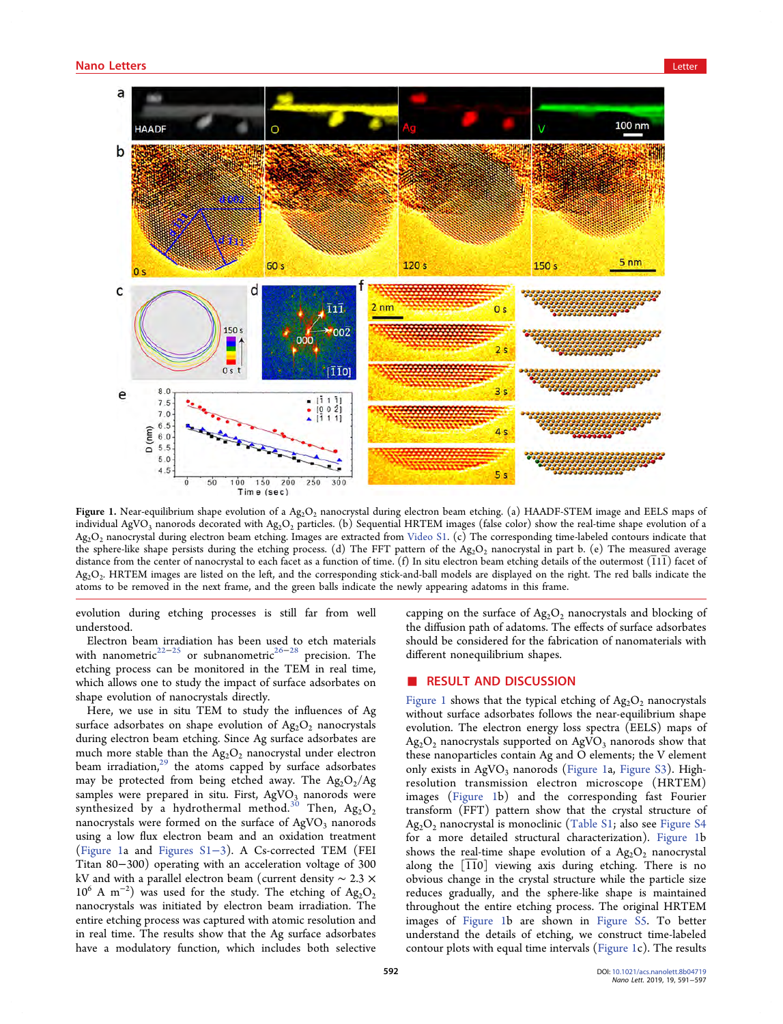<span id="page-1-0"></span>

Figure 1. Near-equilibrium shape evolution of a  $Ag_2O_2$  nanocrystal during electron beam etching. (a) HAADF-STEM image and EELS maps of individual AgVO<sub>3</sub> nanorods decorated with Ag<sub>2</sub>O<sub>2</sub> particles. (b) Sequential HRTEM images (false color) show the real-time shape evolution of a  $Ag_2O_2$  nanocrystal during electron beam etching. Images are extracted from [Video S1](http://pubs.acs.org/doi/suppl/10.1021/acs.nanolett.8b04719/suppl_file/nl8b04719_si_002.avi). (c) The corresponding time-labeled contours indicate that the sphere-like shape persists during the etching process. (d) The FFT pattern of the  $Ag_2O_2$  nanocrystal in part b. (e) The measured average distance from the center of nanocrystal to each facet as a function of time.  $(f)$  In situ electron beam etching details of the outermost  $(111)$  facet of Ag<sub>2</sub>O<sub>2</sub>. HRTEM images are listed on the left, and the corresponding stick-and-ball models are displayed on the right. The red balls indicate the atoms to be removed in the next frame, and the green balls indicate the newly appearing adatoms in this frame.

evolution during etching processes is still far from well understood.

Electron beam irradiation has been used to etch materials with nanometric<sup>22−[25](#page-6-0)</sup> or subnanometric<sup>26−[28](#page-6-0)</sup> precision. The etching process can be monitored in the TEM in real time, which allows one to study the impact of surface adsorbates on shape evolution of nanocrystals directly.

Here, we use in situ TEM to study the influences of Ag surface adsorbates on shape evolution of  $Ag_2O_2$  nanocrystals during electron beam etching. Since Ag surface adsorbates are much more stable than the  $Ag_2O_2$  nanocrystal under electron beam irradiation, $^{29}$  $^{29}$  $^{29}$  the atoms capped by surface adsorbates may be protected from being etched away. The  $\text{Ag}_2\text{O}_2/\text{Ag}$ samples were prepared in situ. First,  $AgVO<sub>3</sub>$  nanorods were synthesized by a hydrothermal method.<sup>[30](#page-6-0)</sup> Then,  $Ag_2O_2$ nanocrystals were formed on the surface of  $AgVO<sub>3</sub>$  nanorods using a low flux electron beam and an oxidation treatment (Figure 1a and [Figures S1](http://pubs.acs.org/doi/suppl/10.1021/acs.nanolett.8b04719/suppl_file/nl8b04719_si_001.pdf)−3). A Cs-corrected TEM (FEI Titan 80−300) operating with an acceleration voltage of 300 kV and with a parallel electron beam (current density ∼ 2.3 × 10<sup>6</sup> A m<sup>-2</sup>) was used for the study. The etching of Ag<sub>2</sub>O<sub>2</sub> nanocrystals was initiated by electron beam irradiation. The entire etching process was captured with atomic resolution and in real time. The results show that the Ag surface adsorbates have a modulatory function, which includes both selective

capping on the surface of  $Ag_2O_2$  nanocrystals and blocking of the diffusion path of adatoms. The effects of surface adsorbates should be considered for the fabrication of nanomaterials with different nonequilibrium shapes.

#### **RESULT AND DISCUSSION**

Figure 1 shows that the typical etching of  $Ag_2O_2$  nanocrystals without surface adsorbates follows the near-equilibrium shape evolution. The electron energy loss spectra (EELS) maps of  $Ag_2O_2$  nanocrystals supported on  $AgVO_3$  nanorods show that these nanoparticles contain Ag and O elements; the V element only exists in  $AgVO<sub>3</sub>$  nanorods (Figure 1a, [Figure S3\)](http://pubs.acs.org/doi/suppl/10.1021/acs.nanolett.8b04719/suppl_file/nl8b04719_si_001.pdf). Highresolution transmission electron microscope (HRTEM) images (Figure 1b) and the corresponding fast Fourier transform (FFT) pattern show that the crystal structure of  $Ag_2O_2$  nanocrystal is monoclinic ([Table S1;](http://pubs.acs.org/doi/suppl/10.1021/acs.nanolett.8b04719/suppl_file/nl8b04719_si_001.pdf) also see [Figure S4](http://pubs.acs.org/doi/suppl/10.1021/acs.nanolett.8b04719/suppl_file/nl8b04719_si_001.pdf) for a more detailed structural characterization). Figure 1b shows the real-time shape evolution of a  $Ag_2O_2$  nanocrystal along the [110] viewing axis during etching. There is no obvious change in the crystal structure while the particle size reduces gradually, and the sphere-like shape is maintained throughout the entire etching process. The original HRTEM images of Figure 1b are shown in [Figure S5.](http://pubs.acs.org/doi/suppl/10.1021/acs.nanolett.8b04719/suppl_file/nl8b04719_si_001.pdf) To better understand the details of etching, we construct time-labeled contour plots with equal time intervals (Figure 1c). The results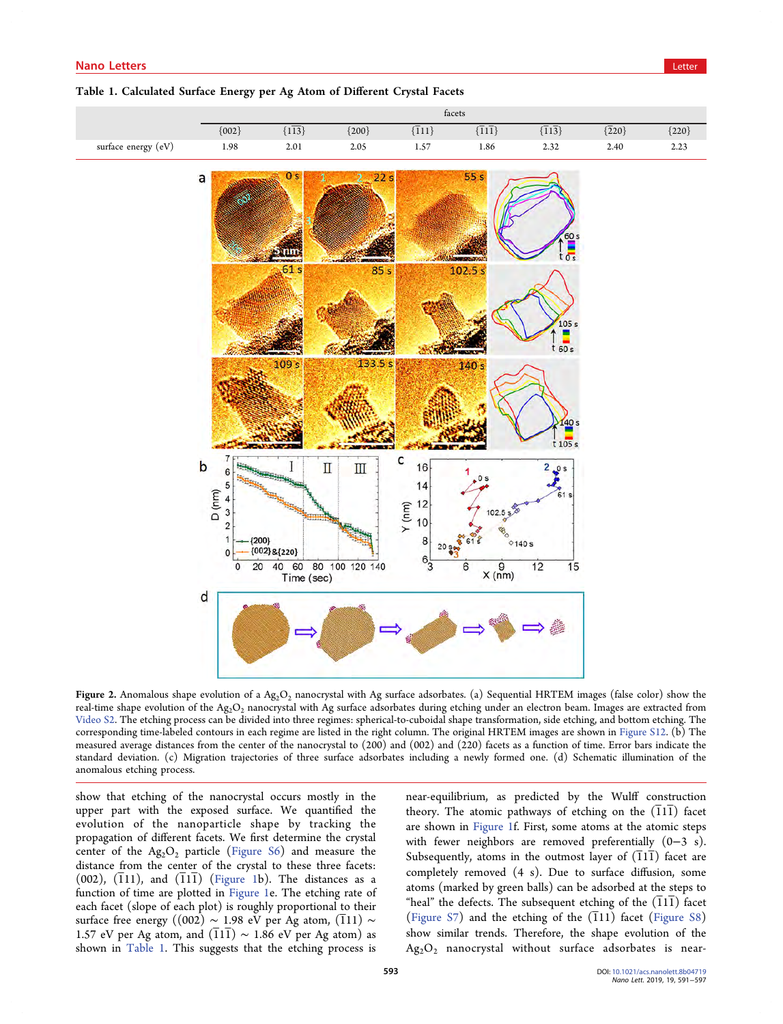#### <span id="page-2-0"></span>Table 1. Calculated Surface Energy per Ag Atom of Different Crystal Facets



**Figure 2.** Anomalous shape evolution of a  $Ag_2O_2$  nanocrystal with Ag surface adsorbates. (a) Sequential HRTEM images (false color) show the real-time shape evolution of the Ag<sub>2</sub>O<sub>2</sub> nanocrystal with Ag surface adsorbates during etching under an electron beam. Images are extracted from [Video S2.](http://pubs.acs.org/doi/suppl/10.1021/acs.nanolett.8b04719/suppl_file/nl8b04719_si_003.avi) The etching process can be divided into three regimes: spherical-to-cuboidal shape transformation, side etching, and bottom etching. The corresponding time-labeled contours in each regime are listed in the right column. The original HRTEM images are shown in [Figure S12](http://pubs.acs.org/doi/suppl/10.1021/acs.nanolett.8b04719/suppl_file/nl8b04719_si_001.pdf). (b) The measured average distances from the center of the nanocrystal to (200) and (002) and (220) facets as a function of time. Error bars indicate the standard deviation. (c) Migration trajectories of three surface adsorbates including a newly formed one. (d) Schematic illumination of the anomalous etching process.

show that etching of the nanocrystal occurs mostly in the upper part with the exposed surface. We quantified the evolution of the nanoparticle shape by tracking the propagation of different facets. We first determine the crystal center of the  $Ag_2O_2$  particle ([Figure S6\)](http://pubs.acs.org/doi/suppl/10.1021/acs.nanolett.8b04719/suppl_file/nl8b04719_si_001.pdf) and measure the distance from the center of the crystal to these three facets: (002),  $(111)$ , and  $(111)$  [\(Figure 1](#page-1-0)b). The distances as a function of time are plotted in [Figure 1](#page-1-0)e. The etching rate of each facet (slope of each plot) is roughly proportional to their surface free energy ((002)  $\sim$  1.98 eV per Ag atom, (111)  $\sim$ 1.57 eV per Ag atom, and  $(\overline{1}1\overline{1}) \sim 1.86$  eV per Ag atom) as shown in Table 1. This suggests that the etching process is

near-equilibrium, as predicted by the Wulff construction theory. The atomic pathways of etching on the  $(11\overline{1})$  facet are shown in [Figure 1](#page-1-0)f. First, some atoms at the atomic steps with fewer neighbors are removed preferentially (0−3 s). Subsequently, atoms in the outmost layer of  $(111)$  facet are completely removed (4 s). Due to surface diffusion, some atoms (marked by green balls) can be adsorbed at the steps to "heal" the defects. The subsequent etching of the  $(\overline{111})$  facet ([Figure S7\)](http://pubs.acs.org/doi/suppl/10.1021/acs.nanolett.8b04719/suppl_file/nl8b04719_si_001.pdf) and the etching of the  $(111)$  facet [\(Figure S8](http://pubs.acs.org/doi/suppl/10.1021/acs.nanolett.8b04719/suppl_file/nl8b04719_si_001.pdf)) show similar trends. Therefore, the shape evolution of the  $Ag_2O_2$  nanocrystal without surface adsorbates is near-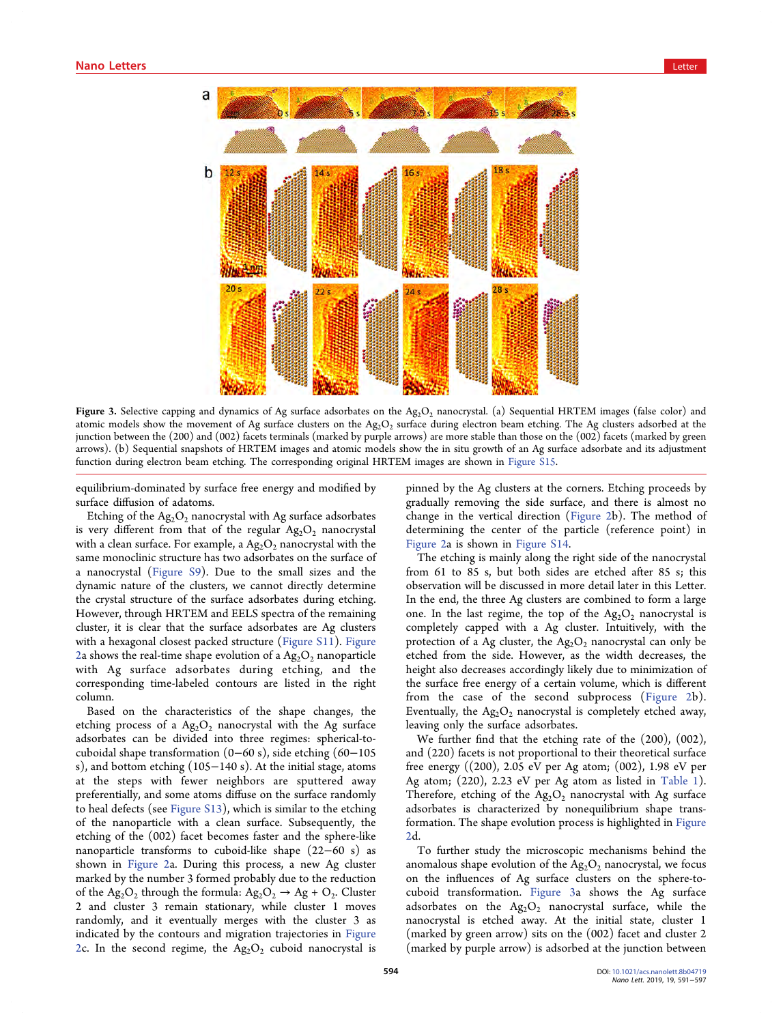<span id="page-3-0"></span>

Figure 3. Selective capping and dynamics of Ag surface adsorbates on the Ag<sub>2</sub>O<sub>2</sub> nanocrystal. (a) Sequential HRTEM images (false color) and atomic models show the movement of Ag surface clusters on the  $Ag_2O_2$  surface during electron beam etching. The Ag clusters adsorbed at the junction between the (200) and (002) facets terminals (marked by purple arrows) are more stable than those on the (002) facets (marked by green arrows). (b) Sequential snapshots of HRTEM images and atomic models show the in situ growth of an Ag surface adsorbate and its adjustment function during electron beam etching. The corresponding original HRTEM images are shown in [Figure S15.](http://pubs.acs.org/doi/suppl/10.1021/acs.nanolett.8b04719/suppl_file/nl8b04719_si_001.pdf)

equilibrium-dominated by surface free energy and modified by surface diffusion of adatoms.

Etching of the  $Ag_2O_2$  nanocrystal with Ag surface adsorbates is very different from that of the regular  $Ag_2O_2$  nanocrystal with a clean surface. For example, a  $Ag_2O_2$  nanocrystal with the same monoclinic structure has two adsorbates on the surface of a nanocrystal ([Figure S9\)](http://pubs.acs.org/doi/suppl/10.1021/acs.nanolett.8b04719/suppl_file/nl8b04719_si_001.pdf). Due to the small sizes and the dynamic nature of the clusters, we cannot directly determine the crystal structure of the surface adsorbates during etching. However, through HRTEM and EELS spectra of the remaining cluster, it is clear that the surface adsorbates are Ag clusters with a hexagonal closest packed structure ([Figure S11](http://pubs.acs.org/doi/suppl/10.1021/acs.nanolett.8b04719/suppl_file/nl8b04719_si_001.pdf)). [Figure](#page-2-0) [2](#page-2-0)a shows the real-time shape evolution of a  $Ag_2O_2$  nanoparticle with Ag surface adsorbates during etching, and the corresponding time-labeled contours are listed in the right column.

Based on the characteristics of the shape changes, the etching process of a  $Ag_2O_2$  nanocrystal with the Ag surface adsorbates can be divided into three regimes: spherical-tocuboidal shape transformation (0−60 s), side etching (60−105 s), and bottom etching (105−140 s). At the initial stage, atoms at the steps with fewer neighbors are sputtered away preferentially, and some atoms diffuse on the surface randomly to heal defects (see [Figure S13\)](http://pubs.acs.org/doi/suppl/10.1021/acs.nanolett.8b04719/suppl_file/nl8b04719_si_001.pdf), which is similar to the etching of the nanoparticle with a clean surface. Subsequently, the etching of the (002) facet becomes faster and the sphere-like nanoparticle transforms to cuboid-like shape (22−60 s) as shown in [Figure 2a](#page-2-0). During this process, a new Ag cluster marked by the number 3 formed probably due to the reduction of the Ag<sub>2</sub>O<sub>2</sub> through the formula: Ag<sub>2</sub>O<sub>2</sub>  $\rightarrow$  Ag + O<sub>2</sub>. Cluster 2 and cluster 3 remain stationary, while cluster 1 moves randomly, and it eventually merges with the cluster 3 as indicated by the contours and migration trajectories in [Figure](#page-2-0) [2](#page-2-0)c. In the second regime, the  $Ag_2O_2$  cuboid nanocrystal is

pinned by the Ag clusters at the corners. Etching proceeds by gradually removing the side surface, and there is almost no change in the vertical direction ([Figure 2b](#page-2-0)). The method of determining the center of the particle (reference point) in [Figure 2a](#page-2-0) is shown in [Figure S14](http://pubs.acs.org/doi/suppl/10.1021/acs.nanolett.8b04719/suppl_file/nl8b04719_si_001.pdf).

The etching is mainly along the right side of the nanocrystal from 61 to 85 s, but both sides are etched after 85 s; this observation will be discussed in more detail later in this Letter. In the end, the three Ag clusters are combined to form a large one. In the last regime, the top of the  $Ag_2O_2$  nanocrystal is completely capped with a Ag cluster. Intuitively, with the protection of a Ag cluster, the  $Ag_2O_2$  nanocrystal can only be etched from the side. However, as the width decreases, the height also decreases accordingly likely due to minimization of the surface free energy of a certain volume, which is different from the case of the second subprocess ([Figure 2](#page-2-0)b). Eventually, the  $Ag_2O_2$  nanocrystal is completely etched away, leaving only the surface adsorbates.

We further find that the etching rate of the (200), (002), and (220) facets is not proportional to their theoretical surface free energy ((200), 2.05 eV per Ag atom; (002), 1.98 eV per Ag atom; (220), 2.23 eV per Ag atom as listed in [Table 1](#page-2-0)). Therefore, etching of the  $Ag_2O_2$  nanocrystal with Ag surface adsorbates is characterized by nonequilibrium shape transformation. The shape evolution process is highlighted in [Figure](#page-2-0) [2](#page-2-0)d.

To further study the microscopic mechanisms behind the anomalous shape evolution of the  $Ag_2O_2$  nanocrystal, we focus on the influences of Ag surface clusters on the sphere-tocuboid transformation. Figure 3a shows the Ag surface adsorbates on the  $Ag_2O_2$  nanocrystal surface, while the nanocrystal is etched away. At the initial state, cluster 1 (marked by green arrow) sits on the (002) facet and cluster 2 (marked by purple arrow) is adsorbed at the junction between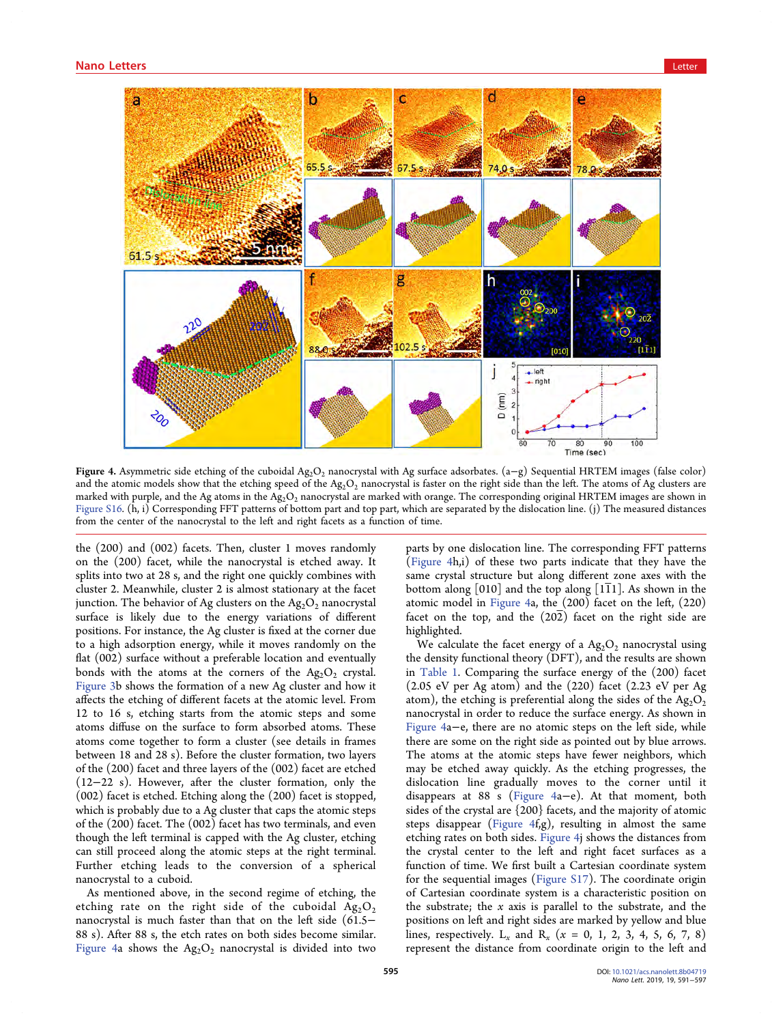

Figure 4. Asymmetric side etching of the cuboidal Ag<sub>2</sub>O<sub>2</sub> nanocrystal with Ag surface adsorbates. (a–g) Sequential HRTEM images (false color) and the atomic models show that the etching speed of the  $Ag_2O_2$  nanocrystal is faster on the right side than the left. The atoms of Ag clusters are marked with purple, and the Ag atoms in the  $Ag_2O_2$  nanocrystal are marked with orange. The corresponding original HRTEM images are shown in [Figure S16.](http://pubs.acs.org/doi/suppl/10.1021/acs.nanolett.8b04719/suppl_file/nl8b04719_si_001.pdf) (h, i) Corresponding FFT patterns of bottom part and top part, which are separated by the dislocation line. (j) The measured distances from the center of the nanocrystal to the left and right facets as a function of time.

the (200) and (002) facets. Then, cluster 1 moves randomly on the (200) facet, while the nanocrystal is etched away. It splits into two at 28 s, and the right one quickly combines with cluster 2. Meanwhile, cluster 2 is almost stationary at the facet junction. The behavior of Ag clusters on the  $Ag_2O_2$  nanocrystal surface is likely due to the energy variations of different positions. For instance, the Ag cluster is fixed at the corner due to a high adsorption energy, while it moves randomly on the flat (002) surface without a preferable location and eventually bonds with the atoms at the corners of the  $Ag_2O_2$  crystal. [Figure 3b](#page-3-0) shows the formation of a new Ag cluster and how it affects the etching of different facets at the atomic level. From 12 to 16 s, etching starts from the atomic steps and some atoms diffuse on the surface to form absorbed atoms. These atoms come together to form a cluster (see details in frames between 18 and 28 s). Before the cluster formation, two layers of the (200) facet and three layers of the (002) facet are etched (12−22 s). However, after the cluster formation, only the (002) facet is etched. Etching along the (200) facet is stopped, which is probably due to a Ag cluster that caps the atomic steps of the (200) facet. The (002) facet has two terminals, and even though the left terminal is capped with the Ag cluster, etching can still proceed along the atomic steps at the right terminal. Further etching leads to the conversion of a spherical nanocrystal to a cuboid.

As mentioned above, in the second regime of etching, the etching rate on the right side of the cuboidal  $Ag_2O_2$ nanocrystal is much faster than that on the left side (61.5− 88 s). After 88 s, the etch rates on both sides become similar. Figure 4a shows the  $Ag_2O_2$  nanocrystal is divided into two

parts by one dislocation line. The corresponding FFT patterns (Figure 4h,i) of these two parts indicate that they have the same crystal structure but along different zone axes with the bottom along  $[010]$  and the top along  $[111]$ . As shown in the atomic model in Figure 4a, the (200) facet on the left, (220) facet on the top, and the  $(20\overline{2})$  facet on the right side are highlighted.

We calculate the facet energy of a  $Ag_2O_2$  nanocrystal using the density functional theory (DFT), and the results are shown in [Table 1.](#page-2-0) Comparing the surface energy of the (200) facet (2.05 eV per Ag atom) and the (220) facet (2.23 eV per Ag atom), the etching is preferential along the sides of the  $Ag_2O_2$ nanocrystal in order to reduce the surface energy. As shown in Figure 4a−e, there are no atomic steps on the left side, while there are some on the right side as pointed out by blue arrows. The atoms at the atomic steps have fewer neighbors, which may be etched away quickly. As the etching progresses, the dislocation line gradually moves to the corner until it disappears at 88 s (Figure 4a−e). At that moment, both sides of the crystal are {200} facets, and the majority of atomic steps disappear (Figure 4f,g), resulting in almost the same etching rates on both sides. Figure 4j shows the distances from the crystal center to the left and right facet surfaces as a function of time. We first built a Cartesian coordinate system for the sequential images [\(Figure S17](http://pubs.acs.org/doi/suppl/10.1021/acs.nanolett.8b04719/suppl_file/nl8b04719_si_001.pdf)). The coordinate origin of Cartesian coordinate system is a characteristic position on the substrate; the  $x$  axis is parallel to the substrate, and the positions on left and right sides are marked by yellow and blue lines, respectively.  $L_x$  and  $R_x$  ( $x = 0, 1, 2, 3, 4, 5, 6, 7, 8$ ) represent the distance from coordinate origin to the left and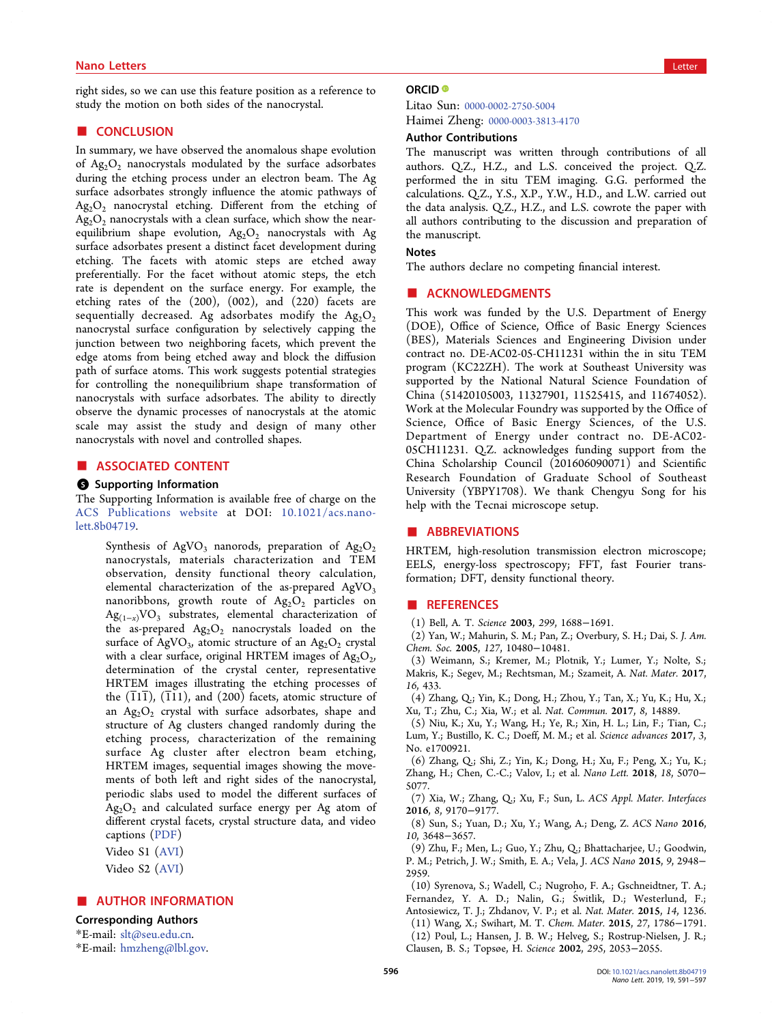## <span id="page-5-0"></span>nano Letters and the control of the control of the control of the control of the control of the control of the<br>Letters and the control of the control of the control of the control of the control of the control of the contr

right sides, so we can use this feature position as a reference to study the motion on both sides of the nanocrystal.

#### ■ CONCLUSION

In summary, we have observed the anomalous shape evolution of  $Ag_2O_2$  nanocrystals modulated by the surface adsorbates during the etching process under an electron beam. The Ag surface adsorbates strongly influence the atomic pathways of Ag2O2 nanocrystal etching. Different from the etching of  $Ag_2O_2$  nanocrystals with a clean surface, which show the nearequilibrium shape evolution,  $Ag_2O_2$  nanocrystals with Ag surface adsorbates present a distinct facet development during etching. The facets with atomic steps are etched away preferentially. For the facet without atomic steps, the etch rate is dependent on the surface energy. For example, the etching rates of the (200), (002), and (220) facets are sequentially decreased. Ag adsorbates modify the  $Ag_2O_2$ nanocrystal surface configuration by selectively capping the junction between two neighboring facets, which prevent the edge atoms from being etched away and block the diffusion path of surface atoms. This work suggests potential strategies for controlling the nonequilibrium shape transformation of nanocrystals with surface adsorbates. The ability to directly observe the dynamic processes of nanocrystals at the atomic scale may assist the study and design of many other nanocrystals with novel and controlled shapes.

#### ■ ASSOCIATED CONTENT

#### **6** Supporting Information

The Supporting Information is available free of charge on the [ACS Publications website](http://pubs.acs.org) at DOI: [10.1021/acs.nano](http://pubs.acs.org/doi/abs/10.1021/acs.nanolett.8b04719)[lett.8b04719](http://pubs.acs.org/doi/abs/10.1021/acs.nanolett.8b04719).

Synthesis of AgVO<sub>3</sub> nanorods, preparation of Ag<sub>2</sub>O<sub>2</sub> nanocrystals, materials characterization and TEM observation, density functional theory calculation, elemental characterization of the as-prepared  $AgVO<sub>3</sub>$ nanoribbons, growth route of  $Ag_2O_2$  particles on  $Ag_{(1-x)}VO_3$  substrates, elemental characterization of the as-prepared  $Ag_2O_2$  nanocrystals loaded on the surface of AgVO<sub>3</sub>, atomic structure of an Ag<sub>2</sub>O<sub>2</sub> crystal with a clear surface, original HRTEM images of  $\text{Ag}_2\text{O}_2$ , determination of the crystal center, representative HRTEM images illustrating the etching processes of the  $(\overline{1}1\overline{1})$ ,  $(\overline{1}11)$ , and  $(200)$  facets, atomic structure of an  $Ag_2O_2$  crystal with surface adsorbates, shape and structure of Ag clusters changed randomly during the etching process, characterization of the remaining surface Ag cluster after electron beam etching, HRTEM images, sequential images showing the movements of both left and right sides of the nanocrystal, periodic slabs used to model the different surfaces of  $Ag_2O_2$  and calculated surface energy per Ag atom of different crystal facets, crystal structure data, and video captions ([PDF](http://pubs.acs.org/doi/suppl/10.1021/acs.nanolett.8b04719/suppl_file/nl8b04719_si_001.pdf))

Video S1 ([AVI](http://pubs.acs.org/doi/suppl/10.1021/acs.nanolett.8b04719/suppl_file/nl8b04719_si_002.avi))

Video S2 ([AVI](http://pubs.acs.org/doi/suppl/10.1021/acs.nanolett.8b04719/suppl_file/nl8b04719_si_003.avi))

### ■ AUTHOR INFORMATION

#### Corresponding Authors

\*E-mail: [slt@seu.edu.cn](mailto:slt@seu.edu.cn).

\*E-mail: [hmzheng@lbl.gov.](mailto:hmzheng@lbl.gov)

#### ORCID<sup>®</sup>

Litao Sun: [0000-0002-2750-5004](http://orcid.org/0000-0002-2750-5004) Haimei Zheng: [0000-0003-3813-4170](http://orcid.org/0000-0003-3813-4170)

#### Author Contributions

The manuscript was written through contributions of all authors. Q.Z., H.Z., and L.S. conceived the project. Q.Z. performed the in situ TEM imaging. G.G. performed the calculations. Q.Z., Y.S., X.P., Y.W., H.D., and L.W. carried out the data analysis. Q.Z., H.Z., and L.S. cowrote the paper with all authors contributing to the discussion and preparation of the manuscript.

#### Notes

The authors declare no competing financial interest.

### ■ ACKNOWLEDGMENTS

This work was funded by the U.S. Department of Energy (DOE), Office of Science, Office of Basic Energy Sciences (BES), Materials Sciences and Engineering Division under contract no. DE-AC02-05-CH11231 within the in situ TEM program (KC22ZH). The work at Southeast University was supported by the National Natural Science Foundation of China (51420105003, 11327901, 11525415, and 11674052). Work at the Molecular Foundry was supported by the Office of Science, Office of Basic Energy Sciences, of the U.S. Department of Energy under contract no. DE-AC02- 05CH11231. Q.Z. acknowledges funding support from the China Scholarship Council (201606090071) and Scientific Research Foundation of Graduate School of Southeast University (YBPY1708). We thank Chengyu Song for his help with the Tecnai microscope setup.

#### ■ ABBREVIATIONS

HRTEM, high-resolution transmission electron microscope; EELS, energy-loss spectroscopy; FFT, fast Fourier transformation; DFT, density functional theory.

#### ■ REFERENCES

(1) Bell, A. T. Science 2003, 299, 1688−1691.

(2) Yan, W.; Mahurin, S. M.; Pan, Z.; Overbury, S. H.; Dai, S. J. Am. Chem. Soc. 2005, 127, 10480−10481.

(3) Weimann, S.; Kremer, M.; Plotnik, Y.; Lumer, Y.; Nolte, S.; Makris, K.; Segev, M.; Rechtsman, M.; Szameit, A. Nat. Mater. 2017, 16, 433.

(4) Zhang, Q.; Yin, K.; Dong, H.; Zhou, Y.; Tan, X.; Yu, K.; Hu, X.; Xu, T.; Zhu, C.; Xia, W.; et al. Nat. Commun. 2017, 8, 14889.

(5) Niu, K.; Xu, Y.; Wang, H.; Ye, R.; Xin, H. L.; Lin, F.; Tian, C.; Lum, Y.; Bustillo, K. C.; Doeff, M. M.; et al. Science advances 2017, 3, No. e1700921.

(6) Zhang, Q.; Shi, Z.; Yin, K.; Dong, H.; Xu, F.; Peng, X.; Yu, K.; Zhang, H.; Chen, C.-C.; Valov, I.; et al. Nano Lett. 2018, 18, 5070− 5077.

(7) Xia, W.; Zhang, Q.; Xu, F.; Sun, L. ACS Appl. Mater. Interfaces 2016, 8, 9170−9177.

(8) Sun, S.; Yuan, D.; Xu, Y.; Wang, A.; Deng, Z. ACS Nano 2016, 10, 3648−3657.

(9) Zhu, F.; Men, L.; Guo, Y.; Zhu, Q.; Bhattacharjee, U.; Goodwin, P. M.; Petrich, J. W.; Smith, E. A.; Vela, J. ACS Nano 2015, 9, 2948− 2959.

(10) Syrenova, S.; Wadell, C.; Nugroho, F. A.; Gschneidtner, T. A.; Fernandez, Y. A. D.; Nalin, G.; Ś witlik, D.; Westerlund, F.; Antosiewicz, T. J.; Zhdanov, V. P.; et al. Nat. Mater. 2015, 14, 1236. (11) Wang, X.; Swihart, M. T. Chem. Mater. 2015, 27, 1786−1791. (12) Poul, L.; Hansen, J. B. W.; Helveg, S.; Rostrup-Nielsen, J. R.; Clausen, B. S.; Topsøe, H. Science 2002, 295, 2053−2055.

Nano Lett. 2019, 19, 591-597